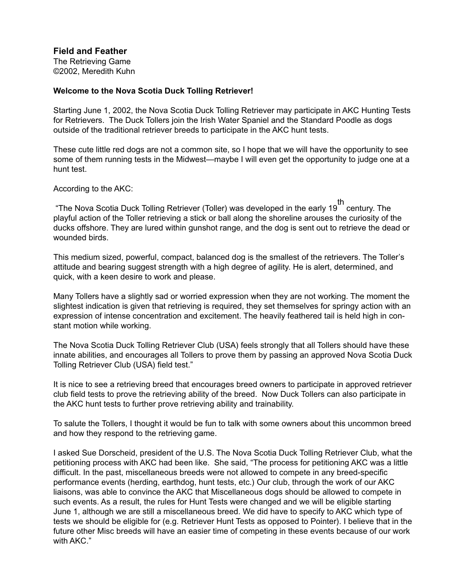**Field and Feather**

The Retrieving Game ©2002, Meredith Kuhn

## **Welcome to the Nova Scotia Duck Tolling Retriever!**

Starting June 1, 2002, the Nova Scotia Duck Tolling Retriever may participate in AKC Hunting Tests for Retrievers. The Duck Tollers join the Irish Water Spaniel and the Standard Poodle as dogs outside of the traditional retriever breeds to participate in the AKC hunt tests.

These cute little red dogs are not a common site, so I hope that we will have the opportunity to see some of them running tests in the Midwest—maybe I will even get the opportunity to judge one at a hunt test.

According to the AKC:

 "The Nova Scotia Duck Tolling Retriever (Toller) was developed in the early 19 th century. The playful action of the Toller retrieving a stick or ball along the shoreline arouses the curiosity of the ducks offshore. They are lured within gunshot range, and the dog is sent out to retrieve the dead or wounded birds.

This medium sized, powerful, compact, balanced dog is the smallest of the retrievers. The Toller's attitude and bearing suggest strength with a high degree of agility. He is alert, determined, and quick, with a keen desire to work and please.

Many Tollers have a slightly sad or worried expression when they are not working. The moment the slightest indication is given that retrieving is required, they set themselves for springy action with an expression of intense concentration and excitement. The heavily feathered tail is held high in constant motion while working.

The Nova Scotia Duck Tolling Retriever Club (USA) feels strongly that all Tollers should have these innate abilities, and encourages all Tollers to prove them by passing an approved Nova Scotia Duck Tolling Retriever Club (USA) field test."

It is nice to see a retrieving breed that encourages breed owners to participate in approved retriever club field tests to prove the retrieving ability of the breed. Now Duck Tollers can also participate in the AKC hunt tests to further prove retrieving ability and trainability.

To salute the Tollers, I thought it would be fun to talk with some owners about this uncommon breed and how they respond to the retrieving game.

I asked Sue Dorscheid, president of the U.S. The Nova Scotia Duck Tolling Retriever Club, what the petitioning process with AKC had been like. She said, "The process for petitioning AKC was a little difficult. In the past, miscellaneous breeds were not allowed to compete in any breed-specific performance events (herding, earthdog, hunt tests, etc.) Our club, through the work of our AKC liaisons, was able to convince the AKC that Miscellaneous dogs should be allowed to compete in such events. As a result, the rules for Hunt Tests were changed and we will be eligible starting June 1, although we are still a miscellaneous breed. We did have to specify to AKC which type of tests we should be eligible for (e.g. Retriever Hunt Tests as opposed to Pointer). I believe that in the future other Misc breeds will have an easier time of competing in these events because of our work with AKC."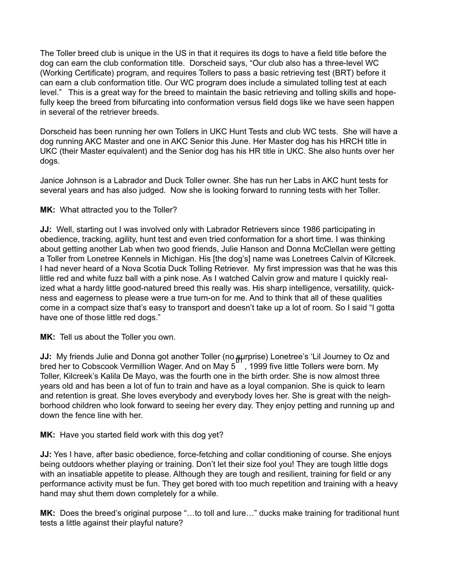The Toller breed club is unique in the US in that it requires its dogs to have a field title before the dog can earn the club conformation title. Dorscheid says, "Our club also has a three-level WC (Working Certificate) program, and requires Tollers to pass a basic retrieving test (BRT) before it can earn a club conformation title. Our WC program does include a simulated tolling test at each level." This is a great way for the breed to maintain the basic retrieving and tolling skills and hopefully keep the breed from bifurcating into conformation versus field dogs like we have seen happen in several of the retriever breeds.

Dorscheid has been running her own Tollers in UKC Hunt Tests and club WC tests. She will have a dog running AKC Master and one in AKC Senior this June. Her Master dog has his HRCH title in UKC (their Master equivalent) and the Senior dog has his HR title in UKC. She also hunts over her dogs.

Janice Johnson is a Labrador and Duck Toller owner. She has run her Labs in AKC hunt tests for several years and has also judged. Now she is looking forward to running tests with her Toller.

## **MK:** What attracted you to the Toller?

**JJ:** Well, starting out I was involved only with Labrador Retrievers since 1986 participating in obedience, tracking, agility, hunt test and even tried conformation for a short time. I was thinking about getting another Lab when two good friends, Julie Hanson and Donna McClellan were getting a Toller from Lonetree Kennels in Michigan. His [the dog's] name was Lonetrees Calvin of Kilcreek. I had never heard of a Nova Scotia Duck Tolling Retriever. My first impression was that he was this little red and white fuzz ball with a pink nose. As I watched Calvin grow and mature I quickly realized what a hardy little good-natured breed this really was. His sharp intelligence, versatility, quickness and eagerness to please were a true turn-on for me. And to think that all of these qualities come in a compact size that's easy to transport and doesn't take up a lot of room. So I said "I gotta have one of those little red dogs."

**MK:** Tell us about the Toller you own.

**JJ:** My friends Julie and Donna got another Toller (no surprise) Lonetree's 'Lil Journey to Oz and bred her to Cobscook Vermillion Wager. And on May 5  $\degree$  , 1999 five little Tollers were born. My Toller, Kilcreek's Kalila De Mayo, was the fourth one in the birth order. She is now almost three years old and has been a lot of fun to train and have as a loyal companion. She is quick to learn and retention is great. She loves everybody and everybody loves her. She is great with the neighborhood children who look forward to seeing her every day. They enjoy petting and running up and down the fence line with her.

## **MK:** Have you started field work with this dog yet?

**JJ:** Yes I have, after basic obedience, force-fetching and collar conditioning of course. She enjoys being outdoors whether playing or training. Don't let their size fool you! They are tough little dogs with an insatiable appetite to please. Although they are tough and resilient, training for field or any performance activity must be fun. They get bored with too much repetition and training with a heavy hand may shut them down completely for a while.

**MK:** Does the breed's original purpose "…to toll and lure…" ducks make training for traditional hunt tests a little against their playful nature?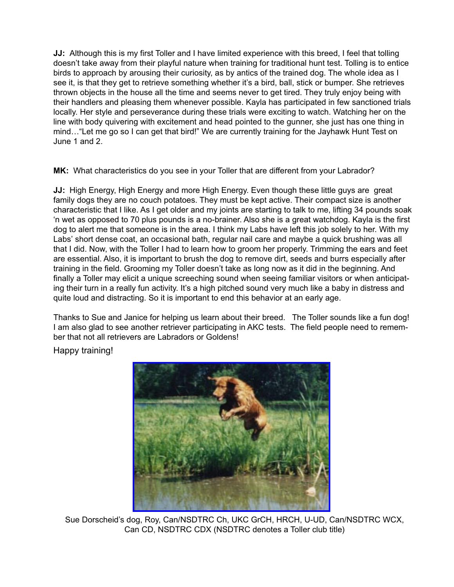**JJ:** Although this is my first Toller and I have limited experience with this breed, I feel that tolling doesn't take away from their playful nature when training for traditional hunt test. Tolling is to entice birds to approach by arousing their curiosity, as by antics of the trained dog. The whole idea as I see it, is that they get to retrieve something whether it's a bird, ball, stick or bumper. She retrieves thrown objects in the house all the time and seems never to get tired. They truly enjoy being with their handlers and pleasing them whenever possible. Kayla has participated in few sanctioned trials locally. Her style and perseverance during these trials were exciting to watch. Watching her on the line with body quivering with excitement and head pointed to the gunner, she just has one thing in mind... "Let me go so I can get that bird!" We are currently training for the Jayhawk Hunt Test on June 1 and 2.

**MK:** What characteristics do you see in your Toller that are different from your Labrador?

**JJ:** High Energy, High Energy and more High Energy. Even though these little guys are great family dogs they are no couch potatoes. They must be kept active. Their compact size is another characteristic that I like. As I get older and my joints are starting to talk to me, lifting 34 pounds soak 'n wet as opposed to 70 plus pounds is a no-brainer. Also she is a great watchdog. Kayla is the first dog to alert me that someone is in the area. I think my Labs have left this job solely to her. With my Labs' short dense coat, an occasional bath, regular nail care and maybe a quick brushing was all that I did. Now, with the Toller I had to learn how to groom her properly. Trimming the ears and feet are essential. Also, it is important to brush the dog to remove dirt, seeds and burrs especially after training in the field. Grooming my Toller doesn't take as long now as it did in the beginning. And finally a Toller may elicit a unique screeching sound when seeing familiar visitors or when anticipating their turn in a really fun activity. It's a high pitched sound very much like a baby in distress and quite loud and distracting. So it is important to end this behavior at an early age.

Thanks to Sue and Janice for helping us learn about their breed. The Toller sounds like a fun dog! I am also glad to see another retriever participating in AKC tests. The field people need to remember that not all retrievers are Labradors or Goldens!

Happy training!



 Sue Dorscheid's dog, Roy, Can/NSDTRC Ch, UKC GrCH, HRCH, U-UD, Can/NSDTRC WCX, Can CD, NSDTRC CDX (NSDTRC denotes a Toller club title)